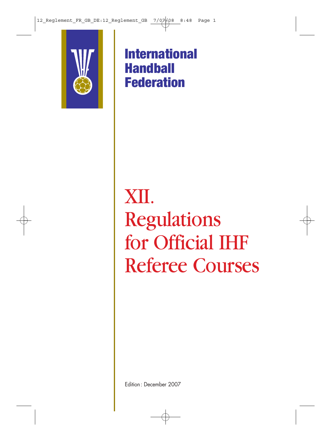

**International Handball Federation**

## XII. Regulations for Official IHF Referee Courses

Edition: December 2007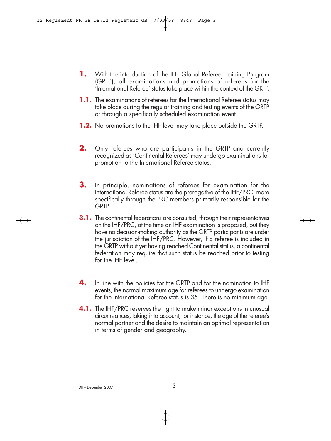- **1.** With the introduction of the IHF Global Referee Training Program (GRTP), all examinations and promotions of referees for the 'International Referee' status take place within the context of the GRTP.
- **1.1.** The examinations of referees for the International Referee status may take place during the regular training and testing events of the GRTP or through a specifically scheduled examination event.
- **1.2.** No promotions to the IHF level may take place outside the GRTP.
- **2.** Only referees who are participants in the GRTP and currently recognized as 'Continental Referees' may undergo examinations for promotion to the International Referee status.
- **3.** In principle, nominations of referees for examination for the International Referee status are the prerogative of the IHF/PRC, more specifically through the PRC members primarily responsible for the GRTP.
- **3.1.** The continental federations are consulted, through their representatives on the IHF/PRC, at the time an IHF examination is proposed, but they have no decision-making authority as the GRTP participants are under the jurisdiction of the IHF/PRC. However, if a referee is included in the GRTP without yet having reached Continental status, a continental federation may require that such status be reached prior to testing for the IHF level.
- **4.** In line with the policies for the GRTP and for the nomination to IHF events, the normal maximum age for referees to undergo examination for the International Referee status is 35. There is no minimum age.
- **4.1.** The IHF/PRC reserves the right to make minor exceptions in unusual circumstances, taking into account, for instance, the age of the referee's normal partner and the desire to maintain an optimal representation in terms of gender and geography.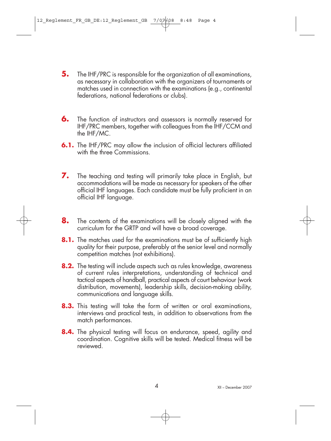- **5.** The IHF/PRC is responsible for the organization of all examinations, as necessary in collaboration with the organizers of tournaments or matches used in connection with the examinations (e.g., continental federations, national federations or clubs).
- **6.** The function of instructors and assessors is normally reserved for IHF/PRC members, together with colleagues from the IHF/CCM and the IHF/MC.
- **6.1.** The IHF/PRC may allow the inclusion of official lecturers affiliated with the three Commissions.
- **7.** The teaching and testing will primarily take place in English, but accommodations will be made as necessary for speakers of the other official IHF languages. Each candidate must be fully proficient in an official IHF language.
- **8.** The contents of the examinations will be closely aligned with the curriculum for the GRTP and will have a broad coverage.
- **8.1.** The matches used for the examinations must be of sufficiently high quality for their purpose, preferably at the senior level and normally competition matches (not exhibitions).
- **8.2.** The testing will include aspects such as rules knowledge, awareness of current rules interpretations, understanding of technical and tactical aspects of handball, practical aspects of court behaviour (work distribution, movements), leadership skills, decision-making ability, communications and language skills.
- **8.3.** This testing will take the form of written or oral examinations, interviews and practical tests, in addition to observations from the match performances.
- **8.4.** The physical testing will focus on endurance, speed, agility and coordination. Cognitive skills will be tested. Medical fitness will be reviewed.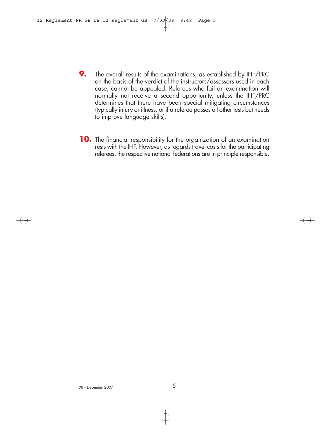- **9.** The overall results of the examinations, as established by IHF/PRC on the basis of the verdict of the instructors/assessors used in each case, cannot be appealed. Referees who fail an examination will normally not receive a second opportunity, unless the IHF/PRC determines that there have been special mitigating circumstances (typically injury or illness, or if a referee passes all other tests but needs to improve language skills).
- **10.** The financial responsibility for the organization of an examination rests with the IHF. However, as regards travel costs for the participating referees, the respective national federations are in principle responsible.